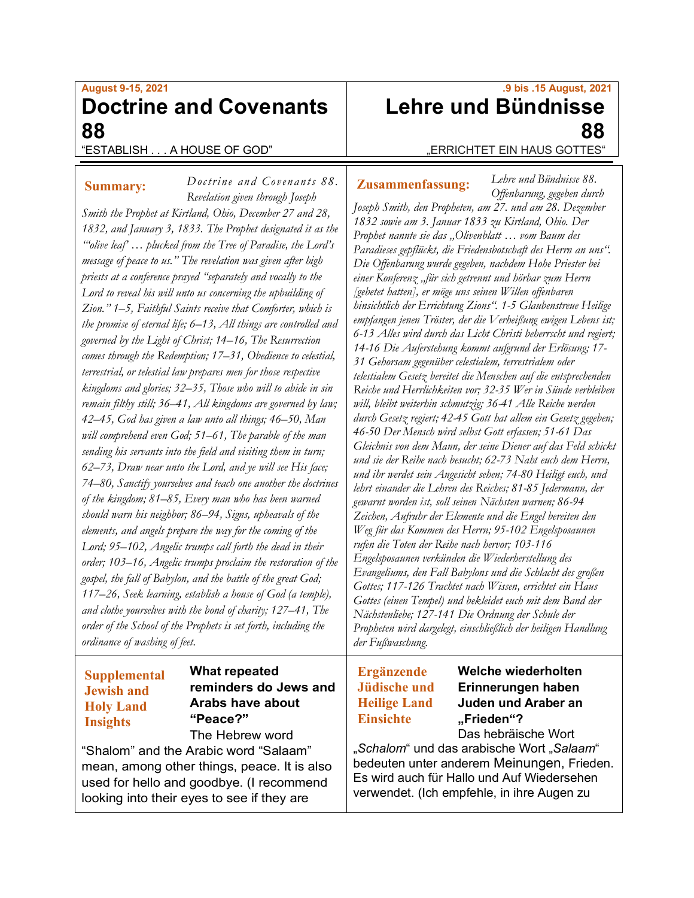# **August 9-15, 2021 Doctrine and Covenants 88**

*Doctrine and Covenants 88 .*

## "ESTABLISH . . . A HOUSE OF GOD"

### **Summary:**

*Revelation given through Joseph Smith the Prophet at Kirtland, Ohio, December 27 and 28, 1832, and January 3, 1833. The Prophet designated it as the "'olive leaf' … plucked from the Tree of Paradise, the Lord's message of peace to us." The revelation was given after high priests at a conference prayed "separately and vocally to the Lord to reveal his will unto us concerning the upbuilding of Zion." 1–5, Faithful Saints receive that Comforter, which is the promise of eternal life; 6–13, All things are controlled and governed by the Light of Christ; 14–16, The Resurrection comes through the Redemption; 17–31, Obedience to celestial, terrestrial, or telestial law prepares men for those respective kingdoms and glories; 32–35, Those who will to abide in sin remain filthy still; 36–41, All kingdoms are governed by law; 42–45, God has given a law unto all things; 46–50, Man will comprehend even God; 51–61, The parable of the man sending his servants into the field and visiting them in turn; 62–73, Draw near unto the Lord, and ye will see His face; 74–80, Sanctify yourselves and teach one another the doctrines of the kingdom; 81–85, Every man who has been warned should warn his neighbor; 86–94, Signs, upheavals of the elements, and angels prepare the way for the coming of the Lord; 95–102, Angelic trumps call forth the dead in their order; 103–16, Angelic trumps proclaim the restoration of the gospel, the fall of Babylon, and the battle of the great God; 117–26, Seek learning, establish a house of God (a temple), and clothe yourselves with the bond of charity; 127–41, The order of the School of the Prophets is set forth, including the ordinance of washing of feet.*

# **Supplemental Jewish and Holy Land Insights**

### **What repeated reminders do Jews and Arabs have about "Peace?"**

### The Hebrew word "Shalom" and the Arabic word "Salaam" mean, among other things, peace. It is also used for hello and goodbye. (I recommend looking into their eyes to see if they are

# **.9 bis .15 August, 2021 Lehre und Bündnisse 88** "ERRICHTET EIN HAUS GOTTES"

#### **Zusammenfassung:**

*Lehre und Bündnisse 88. Offenbarung, gegeben durch* 

*Joseph Smith, den Propheten, am 27. und am 28. Dezember 1832 sowie am 3. Januar 1833 zu Kirtland, Ohio. Der Prophet nannte sie das "Olivenblatt … vom Baum des Paradieses gepflückt, die Friedensbotschaft des Herrn an uns". Die Offenbarung wurde gegeben, nachdem Hohe Priester bei einer Konferenz "für sich getrennt und hörbar zum Herrn [gebetet hatten], er möge uns seinen Willen offenbaren hinsichtlich der Errichtung Zions". 1-5 Glaubenstreue Heilige empfangen jenen Tröster, der die Verheißung ewigen Lebens ist; 6-13 Alles wird durch das Licht Christi beherrscht und regiert; 14-16 Die Auferstehung kommt aufgrund der Erlösung; 17- 31 Gehorsam gegenüber celestialem, terrestrialem oder telestialem Gesetz bereitet die Menschen auf die entsprechenden Reiche und Herrlichkeiten vor; 32-35 Wer in Sünde verbleiben will, bleibt weiterhin schmutzig; 36-41 Alle Reiche werden durch Gesetz regiert; 42-45 Gott hat allem ein Gesetz gegeben; 46-50 Der Mensch wird selbst Gott erfassen; 51-61 Das Gleichnis von dem Mann, der seine Diener auf das Feld schickt und sie der Reihe nach besucht; 62-73 Naht euch dem Herrn, und ihr werdet sein Angesicht sehen; 74-80 Heiligt euch, und lehrt einander die Lehren des Reiches; 81-85 Jedermann, der gewarnt worden ist, soll seinen Nächsten warnen; 86-94 Zeichen, Aufruhr der Elemente und die Engel bereiten den Weg für das Kommen des Herrn; 95-102 Engelsposaunen rufen die Toten der Reihe nach hervor; 103-116 Engelsposaunen verkünden die Wiederherstellung des Evangeliums, den Fall Babylons und die Schlacht des großen Gottes; 117-126 Trachtet nach Wissen, errichtet ein Haus Gottes (einen Tempel) und bekleidet euch mit dem Band der Nächstenliebe; 127-141 Die Ordnung der Schule der Propheten wird dargelegt, einschließlich der heiligen Handlung der Fußwaschung.*

# **Ergänzende Jüdische und Heilige Land Einsichte**

# **Welche wiederholten Erinnerungen haben Juden und Araber an "Frieden"?**

Das hebräische Wort "*Schalom*" und das arabische Wort "*Salaam*" bedeuten unter anderem Meinungen, Frieden. Es wird auch für Hallo und Auf Wiedersehen verwendet. (Ich empfehle, in ihre Augen zu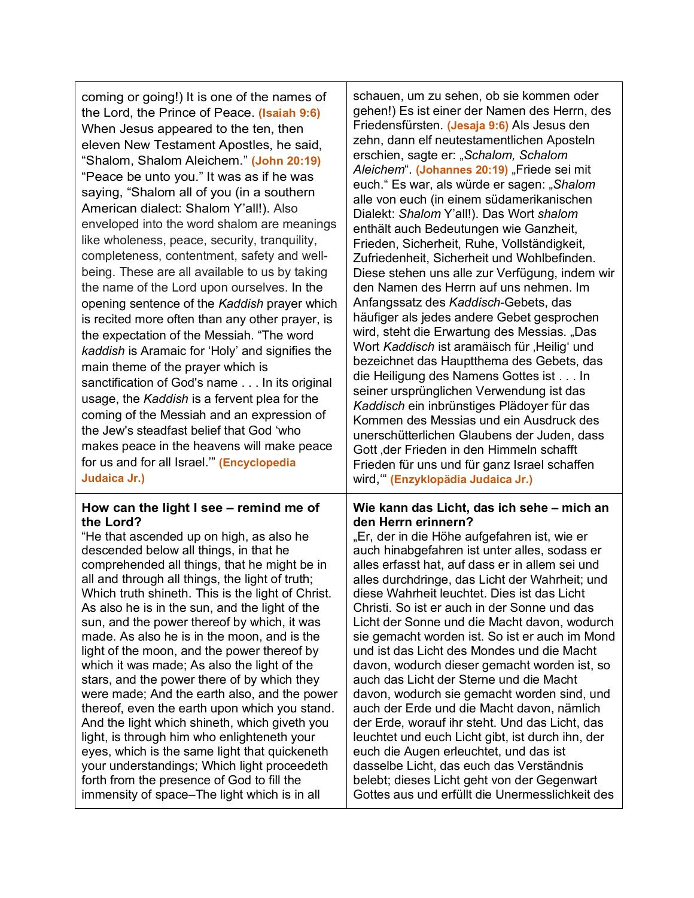| coming or going!) It is one of the names of<br>the Lord, the Prince of Peace. (Isaiah 9:6)<br>When Jesus appeared to the ten, then<br>eleven New Testament Apostles, he said,<br>"Shalom, Shalom Aleichem." (John 20:19)<br>"Peace be unto you." It was as if he was<br>saying, "Shalom all of you (in a southern<br>American dialect: Shalom Y'all!). Also<br>enveloped into the word shalom are meanings<br>like wholeness, peace, security, tranquility,<br>completeness, contentment, safety and well-<br>being. These are all available to us by taking<br>the name of the Lord upon ourselves. In the<br>opening sentence of the Kaddish prayer which<br>is recited more often than any other prayer, is<br>the expectation of the Messiah. "The word<br>kaddish is Aramaic for 'Holy' and signifies the<br>main theme of the prayer which is<br>sanctification of God's name In its original<br>usage, the Kaddish is a fervent plea for the<br>coming of the Messiah and an expression of<br>the Jew's steadfast belief that God 'who<br>makes peace in the heavens will make peace<br>for us and for all Israel."" (Encyclopedia<br>Judaica Jr.) | schauen, um zu sehen, ob sie kommen oder<br>gehen!) Es ist einer der Namen des Herrn, des<br>Friedensfürsten. (Jesaja 9:6) Als Jesus den<br>zehn, dann elf neutestamentlichen Aposteln<br>erschien, sagte er: "Schalom, Schalom<br>Aleichem". (Johannes 20:19) "Friede sei mit<br>euch." Es war, als würde er sagen: "Shalom<br>alle von euch (in einem südamerikanischen<br>Dialekt: Shalom Y'all!). Das Wort shalom<br>enthält auch Bedeutungen wie Ganzheit,<br>Frieden, Sicherheit, Ruhe, Vollständigkeit,<br>Zufriedenheit, Sicherheit und Wohlbefinden.<br>Diese stehen uns alle zur Verfügung, indem wir<br>den Namen des Herrn auf uns nehmen. Im<br>Anfangssatz des Kaddisch-Gebets, das<br>häufiger als jedes andere Gebet gesprochen<br>wird, steht die Erwartung des Messias. "Das<br>Wort Kaddisch ist aramäisch für "Heilig' und<br>bezeichnet das Hauptthema des Gebets, das<br>die Heiligung des Namens Gottes ist In<br>seiner ursprünglichen Verwendung ist das<br>Kaddisch ein inbrünstiges Plädoyer für das<br>Kommen des Messias und ein Ausdruck des<br>unerschütterlichen Glaubens der Juden, dass<br>Gott , der Frieden in den Himmeln schafft<br>Frieden für uns und für ganz Israel schaffen<br>wird, " (Enzyklopädia Judaica Jr.) |
|-----------------------------------------------------------------------------------------------------------------------------------------------------------------------------------------------------------------------------------------------------------------------------------------------------------------------------------------------------------------------------------------------------------------------------------------------------------------------------------------------------------------------------------------------------------------------------------------------------------------------------------------------------------------------------------------------------------------------------------------------------------------------------------------------------------------------------------------------------------------------------------------------------------------------------------------------------------------------------------------------------------------------------------------------------------------------------------------------------------------------------------------------------------|--------------------------------------------------------------------------------------------------------------------------------------------------------------------------------------------------------------------------------------------------------------------------------------------------------------------------------------------------------------------------------------------------------------------------------------------------------------------------------------------------------------------------------------------------------------------------------------------------------------------------------------------------------------------------------------------------------------------------------------------------------------------------------------------------------------------------------------------------------------------------------------------------------------------------------------------------------------------------------------------------------------------------------------------------------------------------------------------------------------------------------------------------------------------------------------------------------------------------------------------------------------|
| How can the light I see - remind me of                                                                                                                                                                                                                                                                                                                                                                                                                                                                                                                                                                                                                                                                                                                                                                                                                                                                                                                                                                                                                                                                                                                    | Wie kann das Licht, das ich sehe - mich an                                                                                                                                                                                                                                                                                                                                                                                                                                                                                                                                                                                                                                                                                                                                                                                                                                                                                                                                                                                                                                                                                                                                                                                                                   |
| the Lord?                                                                                                                                                                                                                                                                                                                                                                                                                                                                                                                                                                                                                                                                                                                                                                                                                                                                                                                                                                                                                                                                                                                                                 | den Herrn erinnern?                                                                                                                                                                                                                                                                                                                                                                                                                                                                                                                                                                                                                                                                                                                                                                                                                                                                                                                                                                                                                                                                                                                                                                                                                                          |
| "He that ascended up on high, as also he                                                                                                                                                                                                                                                                                                                                                                                                                                                                                                                                                                                                                                                                                                                                                                                                                                                                                                                                                                                                                                                                                                                  | "Er, der in die Höhe aufgefahren ist, wie er                                                                                                                                                                                                                                                                                                                                                                                                                                                                                                                                                                                                                                                                                                                                                                                                                                                                                                                                                                                                                                                                                                                                                                                                                 |
| descended below all things, in that he                                                                                                                                                                                                                                                                                                                                                                                                                                                                                                                                                                                                                                                                                                                                                                                                                                                                                                                                                                                                                                                                                                                    | auch hinabgefahren ist unter alles, sodass er                                                                                                                                                                                                                                                                                                                                                                                                                                                                                                                                                                                                                                                                                                                                                                                                                                                                                                                                                                                                                                                                                                                                                                                                                |
| comprehended all things, that he might be in                                                                                                                                                                                                                                                                                                                                                                                                                                                                                                                                                                                                                                                                                                                                                                                                                                                                                                                                                                                                                                                                                                              | alles erfasst hat, auf dass er in allem sei und                                                                                                                                                                                                                                                                                                                                                                                                                                                                                                                                                                                                                                                                                                                                                                                                                                                                                                                                                                                                                                                                                                                                                                                                              |
| all and through all things, the light of truth;                                                                                                                                                                                                                                                                                                                                                                                                                                                                                                                                                                                                                                                                                                                                                                                                                                                                                                                                                                                                                                                                                                           | alles durchdringe, das Licht der Wahrheit; und                                                                                                                                                                                                                                                                                                                                                                                                                                                                                                                                                                                                                                                                                                                                                                                                                                                                                                                                                                                                                                                                                                                                                                                                               |
| Which truth shineth. This is the light of Christ.                                                                                                                                                                                                                                                                                                                                                                                                                                                                                                                                                                                                                                                                                                                                                                                                                                                                                                                                                                                                                                                                                                         | diese Wahrheit leuchtet. Dies ist das Licht                                                                                                                                                                                                                                                                                                                                                                                                                                                                                                                                                                                                                                                                                                                                                                                                                                                                                                                                                                                                                                                                                                                                                                                                                  |
| As also he is in the sun, and the light of the                                                                                                                                                                                                                                                                                                                                                                                                                                                                                                                                                                                                                                                                                                                                                                                                                                                                                                                                                                                                                                                                                                            | Christi. So ist er auch in der Sonne und das                                                                                                                                                                                                                                                                                                                                                                                                                                                                                                                                                                                                                                                                                                                                                                                                                                                                                                                                                                                                                                                                                                                                                                                                                 |
| sun, and the power thereof by which, it was                                                                                                                                                                                                                                                                                                                                                                                                                                                                                                                                                                                                                                                                                                                                                                                                                                                                                                                                                                                                                                                                                                               | Licht der Sonne und die Macht davon, wodurch                                                                                                                                                                                                                                                                                                                                                                                                                                                                                                                                                                                                                                                                                                                                                                                                                                                                                                                                                                                                                                                                                                                                                                                                                 |
| made. As also he is in the moon, and is the                                                                                                                                                                                                                                                                                                                                                                                                                                                                                                                                                                                                                                                                                                                                                                                                                                                                                                                                                                                                                                                                                                               | sie gemacht worden ist. So ist er auch im Mond                                                                                                                                                                                                                                                                                                                                                                                                                                                                                                                                                                                                                                                                                                                                                                                                                                                                                                                                                                                                                                                                                                                                                                                                               |
| light of the moon, and the power thereof by                                                                                                                                                                                                                                                                                                                                                                                                                                                                                                                                                                                                                                                                                                                                                                                                                                                                                                                                                                                                                                                                                                               | und ist das Licht des Mondes und die Macht                                                                                                                                                                                                                                                                                                                                                                                                                                                                                                                                                                                                                                                                                                                                                                                                                                                                                                                                                                                                                                                                                                                                                                                                                   |
| which it was made; As also the light of the                                                                                                                                                                                                                                                                                                                                                                                                                                                                                                                                                                                                                                                                                                                                                                                                                                                                                                                                                                                                                                                                                                               | davon, wodurch dieser gemacht worden ist, so                                                                                                                                                                                                                                                                                                                                                                                                                                                                                                                                                                                                                                                                                                                                                                                                                                                                                                                                                                                                                                                                                                                                                                                                                 |
| stars, and the power there of by which they                                                                                                                                                                                                                                                                                                                                                                                                                                                                                                                                                                                                                                                                                                                                                                                                                                                                                                                                                                                                                                                                                                               | auch das Licht der Sterne und die Macht                                                                                                                                                                                                                                                                                                                                                                                                                                                                                                                                                                                                                                                                                                                                                                                                                                                                                                                                                                                                                                                                                                                                                                                                                      |
| were made; And the earth also, and the power                                                                                                                                                                                                                                                                                                                                                                                                                                                                                                                                                                                                                                                                                                                                                                                                                                                                                                                                                                                                                                                                                                              | davon, wodurch sie gemacht worden sind, und                                                                                                                                                                                                                                                                                                                                                                                                                                                                                                                                                                                                                                                                                                                                                                                                                                                                                                                                                                                                                                                                                                                                                                                                                  |
| thereof, even the earth upon which you stand.                                                                                                                                                                                                                                                                                                                                                                                                                                                                                                                                                                                                                                                                                                                                                                                                                                                                                                                                                                                                                                                                                                             | auch der Erde und die Macht davon, nämlich                                                                                                                                                                                                                                                                                                                                                                                                                                                                                                                                                                                                                                                                                                                                                                                                                                                                                                                                                                                                                                                                                                                                                                                                                   |
| And the light which shineth, which giveth you                                                                                                                                                                                                                                                                                                                                                                                                                                                                                                                                                                                                                                                                                                                                                                                                                                                                                                                                                                                                                                                                                                             | der Erde, worauf ihr steht. Und das Licht, das                                                                                                                                                                                                                                                                                                                                                                                                                                                                                                                                                                                                                                                                                                                                                                                                                                                                                                                                                                                                                                                                                                                                                                                                               |
| light, is through him who enlighteneth your                                                                                                                                                                                                                                                                                                                                                                                                                                                                                                                                                                                                                                                                                                                                                                                                                                                                                                                                                                                                                                                                                                               | leuchtet und euch Licht gibt, ist durch ihn, der                                                                                                                                                                                                                                                                                                                                                                                                                                                                                                                                                                                                                                                                                                                                                                                                                                                                                                                                                                                                                                                                                                                                                                                                             |
| eyes, which is the same light that quickeneth                                                                                                                                                                                                                                                                                                                                                                                                                                                                                                                                                                                                                                                                                                                                                                                                                                                                                                                                                                                                                                                                                                             | euch die Augen erleuchtet, und das ist                                                                                                                                                                                                                                                                                                                                                                                                                                                                                                                                                                                                                                                                                                                                                                                                                                                                                                                                                                                                                                                                                                                                                                                                                       |
| your understandings; Which light proceedeth                                                                                                                                                                                                                                                                                                                                                                                                                                                                                                                                                                                                                                                                                                                                                                                                                                                                                                                                                                                                                                                                                                               | dasselbe Licht, das euch das Verständnis                                                                                                                                                                                                                                                                                                                                                                                                                                                                                                                                                                                                                                                                                                                                                                                                                                                                                                                                                                                                                                                                                                                                                                                                                     |
| forth from the presence of God to fill the                                                                                                                                                                                                                                                                                                                                                                                                                                                                                                                                                                                                                                                                                                                                                                                                                                                                                                                                                                                                                                                                                                                | belebt; dieses Licht geht von der Gegenwart                                                                                                                                                                                                                                                                                                                                                                                                                                                                                                                                                                                                                                                                                                                                                                                                                                                                                                                                                                                                                                                                                                                                                                                                                  |
| immensity of space-The light which is in all                                                                                                                                                                                                                                                                                                                                                                                                                                                                                                                                                                                                                                                                                                                                                                                                                                                                                                                                                                                                                                                                                                              | Gottes aus und erfüllt die Unermesslichkeit des                                                                                                                                                                                                                                                                                                                                                                                                                                                                                                                                                                                                                                                                                                                                                                                                                                                                                                                                                                                                                                                                                                                                                                                                              |

т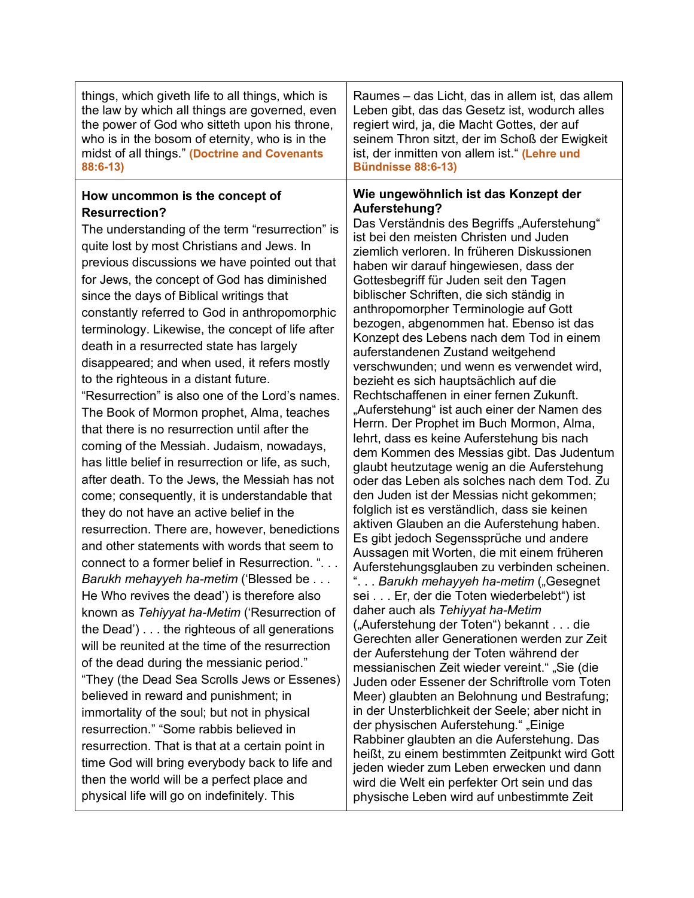| things, which giveth life to all things, which is                                                                                                                                                                                                                                                                                                                                                                                                                                                                                                                                                                                                                                                                                                                                                                                                                                                                                                                                                                                                                                                                                                                                                                                                                                                                                                                                                                                                                                                                                                                                                                                                                                                                                                                                   | Raumes – das Licht, das in allem ist, das allem                                                                                                                                                                                                                                                                                                                                                                                                                                                                                                                                                                                                                                                                                                                                                                                                                                                                                                                                                                                                                                                                                                                                                                                                                                                                                                                                                                                                                                                                                                                                                                                                                                                                                                                                                                                                                                                                                                                   |
|-------------------------------------------------------------------------------------------------------------------------------------------------------------------------------------------------------------------------------------------------------------------------------------------------------------------------------------------------------------------------------------------------------------------------------------------------------------------------------------------------------------------------------------------------------------------------------------------------------------------------------------------------------------------------------------------------------------------------------------------------------------------------------------------------------------------------------------------------------------------------------------------------------------------------------------------------------------------------------------------------------------------------------------------------------------------------------------------------------------------------------------------------------------------------------------------------------------------------------------------------------------------------------------------------------------------------------------------------------------------------------------------------------------------------------------------------------------------------------------------------------------------------------------------------------------------------------------------------------------------------------------------------------------------------------------------------------------------------------------------------------------------------------------|-------------------------------------------------------------------------------------------------------------------------------------------------------------------------------------------------------------------------------------------------------------------------------------------------------------------------------------------------------------------------------------------------------------------------------------------------------------------------------------------------------------------------------------------------------------------------------------------------------------------------------------------------------------------------------------------------------------------------------------------------------------------------------------------------------------------------------------------------------------------------------------------------------------------------------------------------------------------------------------------------------------------------------------------------------------------------------------------------------------------------------------------------------------------------------------------------------------------------------------------------------------------------------------------------------------------------------------------------------------------------------------------------------------------------------------------------------------------------------------------------------------------------------------------------------------------------------------------------------------------------------------------------------------------------------------------------------------------------------------------------------------------------------------------------------------------------------------------------------------------------------------------------------------------------------------------------------------------|
| the law by which all things are governed, even                                                                                                                                                                                                                                                                                                                                                                                                                                                                                                                                                                                                                                                                                                                                                                                                                                                                                                                                                                                                                                                                                                                                                                                                                                                                                                                                                                                                                                                                                                                                                                                                                                                                                                                                      | Leben gibt, das das Gesetz ist, wodurch alles                                                                                                                                                                                                                                                                                                                                                                                                                                                                                                                                                                                                                                                                                                                                                                                                                                                                                                                                                                                                                                                                                                                                                                                                                                                                                                                                                                                                                                                                                                                                                                                                                                                                                                                                                                                                                                                                                                                     |
| the power of God who sitteth upon his throne,                                                                                                                                                                                                                                                                                                                                                                                                                                                                                                                                                                                                                                                                                                                                                                                                                                                                                                                                                                                                                                                                                                                                                                                                                                                                                                                                                                                                                                                                                                                                                                                                                                                                                                                                       | regiert wird, ja, die Macht Gottes, der auf                                                                                                                                                                                                                                                                                                                                                                                                                                                                                                                                                                                                                                                                                                                                                                                                                                                                                                                                                                                                                                                                                                                                                                                                                                                                                                                                                                                                                                                                                                                                                                                                                                                                                                                                                                                                                                                                                                                       |
| who is in the bosom of eternity, who is in the                                                                                                                                                                                                                                                                                                                                                                                                                                                                                                                                                                                                                                                                                                                                                                                                                                                                                                                                                                                                                                                                                                                                                                                                                                                                                                                                                                                                                                                                                                                                                                                                                                                                                                                                      | seinem Thron sitzt, der im Schoß der Ewigkeit                                                                                                                                                                                                                                                                                                                                                                                                                                                                                                                                                                                                                                                                                                                                                                                                                                                                                                                                                                                                                                                                                                                                                                                                                                                                                                                                                                                                                                                                                                                                                                                                                                                                                                                                                                                                                                                                                                                     |
| midst of all things." (Doctrine and Covenants                                                                                                                                                                                                                                                                                                                                                                                                                                                                                                                                                                                                                                                                                                                                                                                                                                                                                                                                                                                                                                                                                                                                                                                                                                                                                                                                                                                                                                                                                                                                                                                                                                                                                                                                       | ist, der inmitten von allem ist." (Lehre und                                                                                                                                                                                                                                                                                                                                                                                                                                                                                                                                                                                                                                                                                                                                                                                                                                                                                                                                                                                                                                                                                                                                                                                                                                                                                                                                                                                                                                                                                                                                                                                                                                                                                                                                                                                                                                                                                                                      |
| 88:6-13)                                                                                                                                                                                                                                                                                                                                                                                                                                                                                                                                                                                                                                                                                                                                                                                                                                                                                                                                                                                                                                                                                                                                                                                                                                                                                                                                                                                                                                                                                                                                                                                                                                                                                                                                                                            | Bündnisse 88:6-13)                                                                                                                                                                                                                                                                                                                                                                                                                                                                                                                                                                                                                                                                                                                                                                                                                                                                                                                                                                                                                                                                                                                                                                                                                                                                                                                                                                                                                                                                                                                                                                                                                                                                                                                                                                                                                                                                                                                                                |
| How uncommon is the concept of<br><b>Resurrection?</b><br>The understanding of the term "resurrection" is<br>quite lost by most Christians and Jews. In<br>previous discussions we have pointed out that<br>for Jews, the concept of God has diminished<br>since the days of Biblical writings that<br>constantly referred to God in anthropomorphic<br>terminology. Likewise, the concept of life after<br>death in a resurrected state has largely<br>disappeared; and when used, it refers mostly<br>to the righteous in a distant future.<br>"Resurrection" is also one of the Lord's names.<br>The Book of Mormon prophet, Alma, teaches<br>that there is no resurrection until after the<br>coming of the Messiah. Judaism, nowadays,<br>has little belief in resurrection or life, as such,<br>after death. To the Jews, the Messiah has not<br>come; consequently, it is understandable that<br>they do not have an active belief in the<br>resurrection. There are, however, benedictions<br>and other statements with words that seem to<br>connect to a former belief in Resurrection. ".<br>Barukh mehayyeh ha-metim ('Blessed be<br>He Who revives the dead') is therefore also<br>known as Tehiyyat ha-Metim ('Resurrection of<br>the Dead') the righteous of all generations<br>will be reunited at the time of the resurrection<br>of the dead during the messianic period."<br>"They (the Dead Sea Scrolls Jews or Essenes)<br>believed in reward and punishment; in<br>immortality of the soul; but not in physical<br>resurrection." "Some rabbis believed in<br>resurrection. That is that at a certain point in<br>time God will bring everybody back to life and<br>then the world will be a perfect place and<br>physical life will go on indefinitely. This | Wie ungewöhnlich ist das Konzept der<br>Auferstehung?<br>Das Verständnis des Begriffs "Auferstehung"<br>ist bei den meisten Christen und Juden<br>ziemlich verloren. In früheren Diskussionen<br>haben wir darauf hingewiesen, dass der<br>Gottesbegriff für Juden seit den Tagen<br>biblischer Schriften, die sich ständig in<br>anthropomorpher Terminologie auf Gott<br>bezogen, abgenommen hat. Ebenso ist das<br>Konzept des Lebens nach dem Tod in einem<br>auferstandenen Zustand weitgehend<br>verschwunden; und wenn es verwendet wird,<br>bezieht es sich hauptsächlich auf die<br>Rechtschaffenen in einer fernen Zukunft.<br>"Auferstehung" ist auch einer der Namen des<br>Herrn. Der Prophet im Buch Mormon, Alma,<br>lehrt, dass es keine Auferstehung bis nach<br>dem Kommen des Messias gibt. Das Judentum<br>glaubt heutzutage wenig an die Auferstehung<br>oder das Leben als solches nach dem Tod. Zu<br>den Juden ist der Messias nicht gekommen;<br>folglich ist es verständlich, dass sie keinen<br>aktiven Glauben an die Auferstehung haben.<br>Es gibt jedoch Segenssprüche und andere<br>Aussagen mit Worten, die mit einem früheren<br>Auferstehungsglauben zu verbinden scheinen.<br>" Barukh mehayyeh ha-metim ("Gesegnet<br>sei Er, der die Toten wiederbelebt") ist<br>daher auch als Tehiyyat ha-Metim<br>("Auferstehung der Toten") bekannt die<br>Gerechten aller Generationen werden zur Zeit<br>der Auferstehung der Toten während der<br>messianischen Zeit wieder vereint." "Sie (die<br>Juden oder Essener der Schriftrolle vom Toten<br>Meer) glaubten an Belohnung und Bestrafung;<br>in der Unsterblichkeit der Seele; aber nicht in<br>der physischen Auferstehung." "Einige<br>Rabbiner glaubten an die Auferstehung. Das<br>heißt, zu einem bestimmten Zeitpunkt wird Gott<br>jeden wieder zum Leben erwecken und dann<br>wird die Welt ein perfekter Ort sein und das<br>physische Leben wird auf unbestimmte Zeit |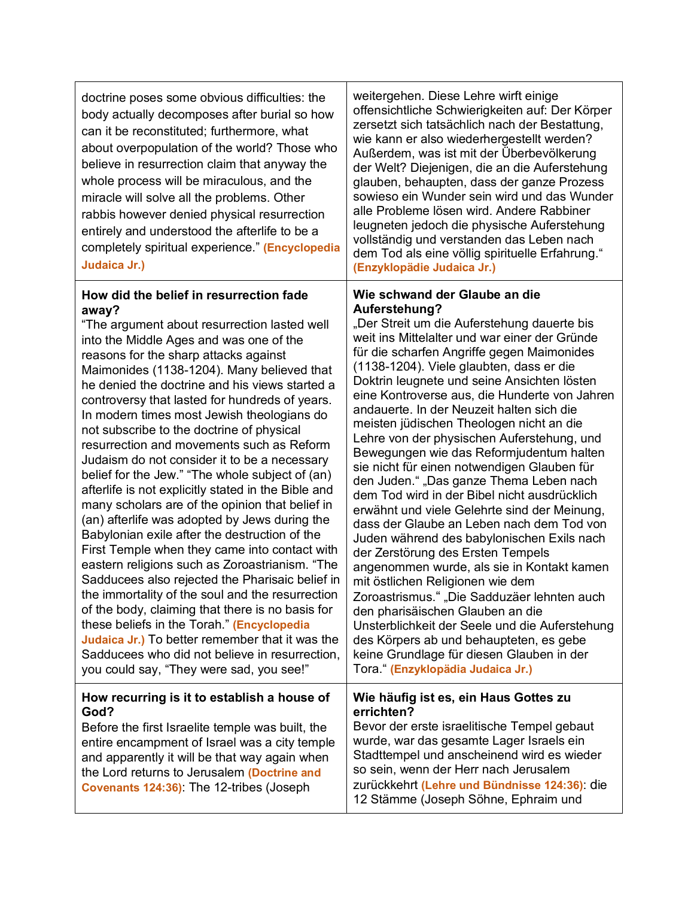| doctrine poses some obvious difficulties: the<br>body actually decomposes after burial so how<br>can it be reconstituted; furthermore, what<br>about overpopulation of the world? Those who<br>believe in resurrection claim that anyway the<br>whole process will be miraculous, and the<br>miracle will solve all the problems. Other<br>rabbis however denied physical resurrection<br>entirely and understood the afterlife to be a<br>completely spiritual experience." (Encyclopedia<br>Judaica Jr.)                                                                                                                                                                                                                                                                                                                                                                                                                                                                                                                                                                                                                                                                                                                                                 | weitergehen. Diese Lehre wirft einige<br>offensichtliche Schwierigkeiten auf: Der Körper<br>zersetzt sich tatsächlich nach der Bestattung,<br>wie kann er also wiederhergestellt werden?<br>Außerdem, was ist mit der Überbevölkerung<br>der Welt? Diejenigen, die an die Auferstehung<br>glauben, behaupten, dass der ganze Prozess<br>sowieso ein Wunder sein wird und das Wunder<br>alle Probleme lösen wird. Andere Rabbiner<br>leugneten jedoch die physische Auferstehung<br>vollständig und verstanden das Leben nach<br>dem Tod als eine völlig spirituelle Erfahrung."<br>(Enzyklopädie Judaica Jr.)                                                                                                                                                                                                                                                                                                                                                                                                                                                                                                                                                                                             |
|------------------------------------------------------------------------------------------------------------------------------------------------------------------------------------------------------------------------------------------------------------------------------------------------------------------------------------------------------------------------------------------------------------------------------------------------------------------------------------------------------------------------------------------------------------------------------------------------------------------------------------------------------------------------------------------------------------------------------------------------------------------------------------------------------------------------------------------------------------------------------------------------------------------------------------------------------------------------------------------------------------------------------------------------------------------------------------------------------------------------------------------------------------------------------------------------------------------------------------------------------------|-----------------------------------------------------------------------------------------------------------------------------------------------------------------------------------------------------------------------------------------------------------------------------------------------------------------------------------------------------------------------------------------------------------------------------------------------------------------------------------------------------------------------------------------------------------------------------------------------------------------------------------------------------------------------------------------------------------------------------------------------------------------------------------------------------------------------------------------------------------------------------------------------------------------------------------------------------------------------------------------------------------------------------------------------------------------------------------------------------------------------------------------------------------------------------------------------------------|
| How did the belief in resurrection fade<br>away?<br>"The argument about resurrection lasted well<br>into the Middle Ages and was one of the<br>reasons for the sharp attacks against<br>Maimonides (1138-1204). Many believed that<br>he denied the doctrine and his views started a<br>controversy that lasted for hundreds of years.<br>In modern times most Jewish theologians do<br>not subscribe to the doctrine of physical<br>resurrection and movements such as Reform<br>Judaism do not consider it to be a necessary<br>belief for the Jew." "The whole subject of (an)<br>afterlife is not explicitly stated in the Bible and<br>many scholars are of the opinion that belief in<br>(an) afterlife was adopted by Jews during the<br>Babylonian exile after the destruction of the<br>First Temple when they came into contact with<br>eastern religions such as Zoroastrianism. "The<br>Sadducees also rejected the Pharisaic belief in<br>the immortality of the soul and the resurrection<br>of the body, claiming that there is no basis for<br>these beliefs in the Torah." (Encyclopedia<br>Judaica Jr.) To better remember that it was the<br>Sadducees who did not believe in resurrection,<br>you could say, "They were sad, you see!" | Wie schwand der Glaube an die<br>Auferstehung?<br>"Der Streit um die Auferstehung dauerte bis<br>weit ins Mittelalter und war einer der Gründe<br>für die scharfen Angriffe gegen Maimonides<br>(1138-1204). Viele glaubten, dass er die<br>Doktrin leugnete und seine Ansichten lösten<br>eine Kontroverse aus, die Hunderte von Jahren<br>andauerte. In der Neuzeit halten sich die<br>meisten jüdischen Theologen nicht an die<br>Lehre von der physischen Auferstehung, und<br>Bewegungen wie das Reformjudentum halten<br>sie nicht für einen notwendigen Glauben für<br>den Juden." "Das ganze Thema Leben nach<br>dem Tod wird in der Bibel nicht ausdrücklich<br>erwähnt und viele Gelehrte sind der Meinung,<br>dass der Glaube an Leben nach dem Tod von<br>Juden während des babylonischen Exils nach<br>der Zerstörung des Ersten Tempels<br>angenommen wurde, als sie in Kontakt kamen<br>mit östlichen Religionen wie dem<br>Zoroastrismus." "Die Sadduzäer lehnten auch<br>den pharisäischen Glauben an die<br>Unsterblichkeit der Seele und die Auferstehung<br>des Körpers ab und behaupteten, es gebe<br>keine Grundlage für diesen Glauben in der<br>Tora." (Enzyklopädia Judaica Jr.) |
| How recurring is it to establish a house of<br>God?<br>Before the first Israelite temple was built, the<br>entire encampment of Israel was a city temple<br>and apparently it will be that way again when<br>the Lord returns to Jerusalem (Doctrine and<br>Covenants 124:36): The 12-tribes (Joseph                                                                                                                                                                                                                                                                                                                                                                                                                                                                                                                                                                                                                                                                                                                                                                                                                                                                                                                                                       | Wie häufig ist es, ein Haus Gottes zu<br>errichten?<br>Bevor der erste israelitische Tempel gebaut<br>wurde, war das gesamte Lager Israels ein<br>Stadttempel und anscheinend wird es wieder<br>so sein, wenn der Herr nach Jerusalem<br>zurückkehrt (Lehre und Bündnisse 124:36): die<br>12 Stämme (Joseph Söhne, Ephraim und                                                                                                                                                                                                                                                                                                                                                                                                                                                                                                                                                                                                                                                                                                                                                                                                                                                                            |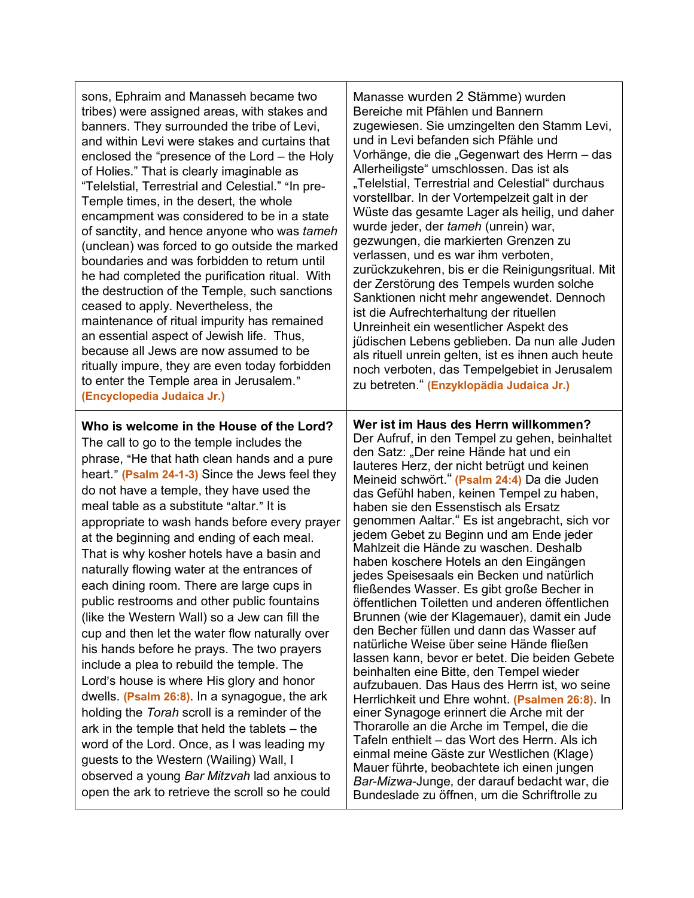| sons, Ephraim and Manasseh became two                                                                                                                                                                                                                                                                                                                                                                                                                                                                                                                                                                                                                                                                                                                                                                                                                                                                                                                                                                                                                                                                                                                              | Manasse wurden 2 Stämme) wurden                                                                                                                                                                                                                                                                                                                                                                                                                                                                                                                                                                                                                                                                                                                                                                                                                                                                                                                                                                                                                                                                                                                                                                                                                                                                                                       |
|--------------------------------------------------------------------------------------------------------------------------------------------------------------------------------------------------------------------------------------------------------------------------------------------------------------------------------------------------------------------------------------------------------------------------------------------------------------------------------------------------------------------------------------------------------------------------------------------------------------------------------------------------------------------------------------------------------------------------------------------------------------------------------------------------------------------------------------------------------------------------------------------------------------------------------------------------------------------------------------------------------------------------------------------------------------------------------------------------------------------------------------------------------------------|---------------------------------------------------------------------------------------------------------------------------------------------------------------------------------------------------------------------------------------------------------------------------------------------------------------------------------------------------------------------------------------------------------------------------------------------------------------------------------------------------------------------------------------------------------------------------------------------------------------------------------------------------------------------------------------------------------------------------------------------------------------------------------------------------------------------------------------------------------------------------------------------------------------------------------------------------------------------------------------------------------------------------------------------------------------------------------------------------------------------------------------------------------------------------------------------------------------------------------------------------------------------------------------------------------------------------------------|
| tribes) were assigned areas, with stakes and                                                                                                                                                                                                                                                                                                                                                                                                                                                                                                                                                                                                                                                                                                                                                                                                                                                                                                                                                                                                                                                                                                                       | Bereiche mit Pfählen und Bannern                                                                                                                                                                                                                                                                                                                                                                                                                                                                                                                                                                                                                                                                                                                                                                                                                                                                                                                                                                                                                                                                                                                                                                                                                                                                                                      |
| banners. They surrounded the tribe of Levi,                                                                                                                                                                                                                                                                                                                                                                                                                                                                                                                                                                                                                                                                                                                                                                                                                                                                                                                                                                                                                                                                                                                        | zugewiesen. Sie umzingelten den Stamm Levi,                                                                                                                                                                                                                                                                                                                                                                                                                                                                                                                                                                                                                                                                                                                                                                                                                                                                                                                                                                                                                                                                                                                                                                                                                                                                                           |
| and within Levi were stakes and curtains that                                                                                                                                                                                                                                                                                                                                                                                                                                                                                                                                                                                                                                                                                                                                                                                                                                                                                                                                                                                                                                                                                                                      | und in Levi befanden sich Pfähle und                                                                                                                                                                                                                                                                                                                                                                                                                                                                                                                                                                                                                                                                                                                                                                                                                                                                                                                                                                                                                                                                                                                                                                                                                                                                                                  |
| enclosed the "presence of the Lord – the Holy                                                                                                                                                                                                                                                                                                                                                                                                                                                                                                                                                                                                                                                                                                                                                                                                                                                                                                                                                                                                                                                                                                                      | Vorhänge, die die "Gegenwart des Herrn - das                                                                                                                                                                                                                                                                                                                                                                                                                                                                                                                                                                                                                                                                                                                                                                                                                                                                                                                                                                                                                                                                                                                                                                                                                                                                                          |
| of Holies." That is clearly imaginable as                                                                                                                                                                                                                                                                                                                                                                                                                                                                                                                                                                                                                                                                                                                                                                                                                                                                                                                                                                                                                                                                                                                          | Allerheiligste" umschlossen. Das ist als                                                                                                                                                                                                                                                                                                                                                                                                                                                                                                                                                                                                                                                                                                                                                                                                                                                                                                                                                                                                                                                                                                                                                                                                                                                                                              |
| "Telelstial, Terrestrial and Celestial." "In pre-                                                                                                                                                                                                                                                                                                                                                                                                                                                                                                                                                                                                                                                                                                                                                                                                                                                                                                                                                                                                                                                                                                                  | "Telelstial, Terrestrial and Celestial" durchaus                                                                                                                                                                                                                                                                                                                                                                                                                                                                                                                                                                                                                                                                                                                                                                                                                                                                                                                                                                                                                                                                                                                                                                                                                                                                                      |
| Temple times, in the desert, the whole                                                                                                                                                                                                                                                                                                                                                                                                                                                                                                                                                                                                                                                                                                                                                                                                                                                                                                                                                                                                                                                                                                                             | vorstellbar. In der Vortempelzeit galt in der                                                                                                                                                                                                                                                                                                                                                                                                                                                                                                                                                                                                                                                                                                                                                                                                                                                                                                                                                                                                                                                                                                                                                                                                                                                                                         |
| encampment was considered to be in a state                                                                                                                                                                                                                                                                                                                                                                                                                                                                                                                                                                                                                                                                                                                                                                                                                                                                                                                                                                                                                                                                                                                         | Wüste das gesamte Lager als heilig, und daher                                                                                                                                                                                                                                                                                                                                                                                                                                                                                                                                                                                                                                                                                                                                                                                                                                                                                                                                                                                                                                                                                                                                                                                                                                                                                         |
| of sanctity, and hence anyone who was tameh                                                                                                                                                                                                                                                                                                                                                                                                                                                                                                                                                                                                                                                                                                                                                                                                                                                                                                                                                                                                                                                                                                                        | wurde jeder, der tameh (unrein) war,                                                                                                                                                                                                                                                                                                                                                                                                                                                                                                                                                                                                                                                                                                                                                                                                                                                                                                                                                                                                                                                                                                                                                                                                                                                                                                  |
| (unclean) was forced to go outside the marked                                                                                                                                                                                                                                                                                                                                                                                                                                                                                                                                                                                                                                                                                                                                                                                                                                                                                                                                                                                                                                                                                                                      | gezwungen, die markierten Grenzen zu                                                                                                                                                                                                                                                                                                                                                                                                                                                                                                                                                                                                                                                                                                                                                                                                                                                                                                                                                                                                                                                                                                                                                                                                                                                                                                  |
| boundaries and was forbidden to return until                                                                                                                                                                                                                                                                                                                                                                                                                                                                                                                                                                                                                                                                                                                                                                                                                                                                                                                                                                                                                                                                                                                       | verlassen, und es war ihm verboten,                                                                                                                                                                                                                                                                                                                                                                                                                                                                                                                                                                                                                                                                                                                                                                                                                                                                                                                                                                                                                                                                                                                                                                                                                                                                                                   |
| he had completed the purification ritual. With                                                                                                                                                                                                                                                                                                                                                                                                                                                                                                                                                                                                                                                                                                                                                                                                                                                                                                                                                                                                                                                                                                                     | zurückzukehren, bis er die Reinigungsritual. Mit                                                                                                                                                                                                                                                                                                                                                                                                                                                                                                                                                                                                                                                                                                                                                                                                                                                                                                                                                                                                                                                                                                                                                                                                                                                                                      |
| the destruction of the Temple, such sanctions                                                                                                                                                                                                                                                                                                                                                                                                                                                                                                                                                                                                                                                                                                                                                                                                                                                                                                                                                                                                                                                                                                                      | der Zerstörung des Tempels wurden solche                                                                                                                                                                                                                                                                                                                                                                                                                                                                                                                                                                                                                                                                                                                                                                                                                                                                                                                                                                                                                                                                                                                                                                                                                                                                                              |
| ceased to apply. Nevertheless, the                                                                                                                                                                                                                                                                                                                                                                                                                                                                                                                                                                                                                                                                                                                                                                                                                                                                                                                                                                                                                                                                                                                                 | Sanktionen nicht mehr angewendet. Dennoch                                                                                                                                                                                                                                                                                                                                                                                                                                                                                                                                                                                                                                                                                                                                                                                                                                                                                                                                                                                                                                                                                                                                                                                                                                                                                             |
| maintenance of ritual impurity has remained                                                                                                                                                                                                                                                                                                                                                                                                                                                                                                                                                                                                                                                                                                                                                                                                                                                                                                                                                                                                                                                                                                                        | ist die Aufrechterhaltung der rituellen                                                                                                                                                                                                                                                                                                                                                                                                                                                                                                                                                                                                                                                                                                                                                                                                                                                                                                                                                                                                                                                                                                                                                                                                                                                                                               |
| an essential aspect of Jewish life. Thus,                                                                                                                                                                                                                                                                                                                                                                                                                                                                                                                                                                                                                                                                                                                                                                                                                                                                                                                                                                                                                                                                                                                          | Unreinheit ein wesentlicher Aspekt des                                                                                                                                                                                                                                                                                                                                                                                                                                                                                                                                                                                                                                                                                                                                                                                                                                                                                                                                                                                                                                                                                                                                                                                                                                                                                                |
| because all Jews are now assumed to be                                                                                                                                                                                                                                                                                                                                                                                                                                                                                                                                                                                                                                                                                                                                                                                                                                                                                                                                                                                                                                                                                                                             | jüdischen Lebens geblieben. Da nun alle Juden                                                                                                                                                                                                                                                                                                                                                                                                                                                                                                                                                                                                                                                                                                                                                                                                                                                                                                                                                                                                                                                                                                                                                                                                                                                                                         |
| ritually impure, they are even today forbidden                                                                                                                                                                                                                                                                                                                                                                                                                                                                                                                                                                                                                                                                                                                                                                                                                                                                                                                                                                                                                                                                                                                     | als rituell unrein gelten, ist es ihnen auch heute                                                                                                                                                                                                                                                                                                                                                                                                                                                                                                                                                                                                                                                                                                                                                                                                                                                                                                                                                                                                                                                                                                                                                                                                                                                                                    |
| to enter the Temple area in Jerusalem."                                                                                                                                                                                                                                                                                                                                                                                                                                                                                                                                                                                                                                                                                                                                                                                                                                                                                                                                                                                                                                                                                                                            | noch verboten, das Tempelgebiet in Jerusalem                                                                                                                                                                                                                                                                                                                                                                                                                                                                                                                                                                                                                                                                                                                                                                                                                                                                                                                                                                                                                                                                                                                                                                                                                                                                                          |
| (Encyclopedia Judaica Jr.)                                                                                                                                                                                                                                                                                                                                                                                                                                                                                                                                                                                                                                                                                                                                                                                                                                                                                                                                                                                                                                                                                                                                         | zu betreten." (Enzyklopädia Judaica Jr.)                                                                                                                                                                                                                                                                                                                                                                                                                                                                                                                                                                                                                                                                                                                                                                                                                                                                                                                                                                                                                                                                                                                                                                                                                                                                                              |
| Who is welcome in the House of the Lord?<br>The call to go to the temple includes the<br>phrase, "He that hath clean hands and a pure<br>heart." (Psalm 24-1-3) Since the Jews feel they<br>do not have a temple, they have used the<br>meal table as a substitute "altar." It is<br>appropriate to wash hands before every prayer<br>at the beginning and ending of each meal.<br>That is why kosher hotels have a basin and<br>naturally flowing water at the entrances of<br>each dining room. There are large cups in<br>public restrooms and other public fountains<br>(like the Western Wall) so a Jew can fill the<br>cup and then let the water flow naturally over<br>his hands before he prays. The two prayers<br>include a plea to rebuild the temple. The<br>Lord's house is where His glory and honor<br>dwells. (Psalm 26:8). In a synagogue, the ark<br>holding the Torah scroll is a reminder of the<br>ark in the temple that held the tablets – the<br>word of the Lord. Once, as I was leading my<br>guests to the Western (Wailing) Wall, I<br>observed a young Bar Mitzvah lad anxious to<br>open the ark to retrieve the scroll so he could | Wer ist im Haus des Herrn willkommen?<br>Der Aufruf, in den Tempel zu gehen, beinhaltet<br>den Satz: "Der reine Hände hat und ein<br>lauteres Herz, der nicht betrügt und keinen<br>Meineid schwört." (Psalm 24:4) Da die Juden<br>das Gefühl haben, keinen Tempel zu haben,<br>haben sie den Essenstisch als Ersatz<br>genommen Aaltar." Es ist angebracht, sich vor<br>jedem Gebet zu Beginn und am Ende jeder<br>Mahlzeit die Hände zu waschen. Deshalb<br>haben koschere Hotels an den Eingängen<br>jedes Speisesaals ein Becken und natürlich<br>fließendes Wasser. Es gibt große Becher in<br>öffentlichen Toiletten und anderen öffentlichen<br>Brunnen (wie der Klagemauer), damit ein Jude<br>den Becher füllen und dann das Wasser auf<br>natürliche Weise über seine Hände fließen<br>lassen kann, bevor er betet. Die beiden Gebete<br>beinhalten eine Bitte, den Tempel wieder<br>aufzubauen. Das Haus des Herrn ist, wo seine<br>Herrlichkeit und Ehre wohnt. (Psalmen 26:8). In<br>einer Synagoge erinnert die Arche mit der<br>Thorarolle an die Arche im Tempel, die die<br>Tafeln enthielt – das Wort des Herrn. Als ich<br>einmal meine Gäste zur Westlichen (Klage)<br>Mauer führte, beobachtete ich einen jungen<br>Bar-Mizwa-Junge, der darauf bedacht war, die<br>Bundeslade zu öffnen, um die Schriftrolle zu |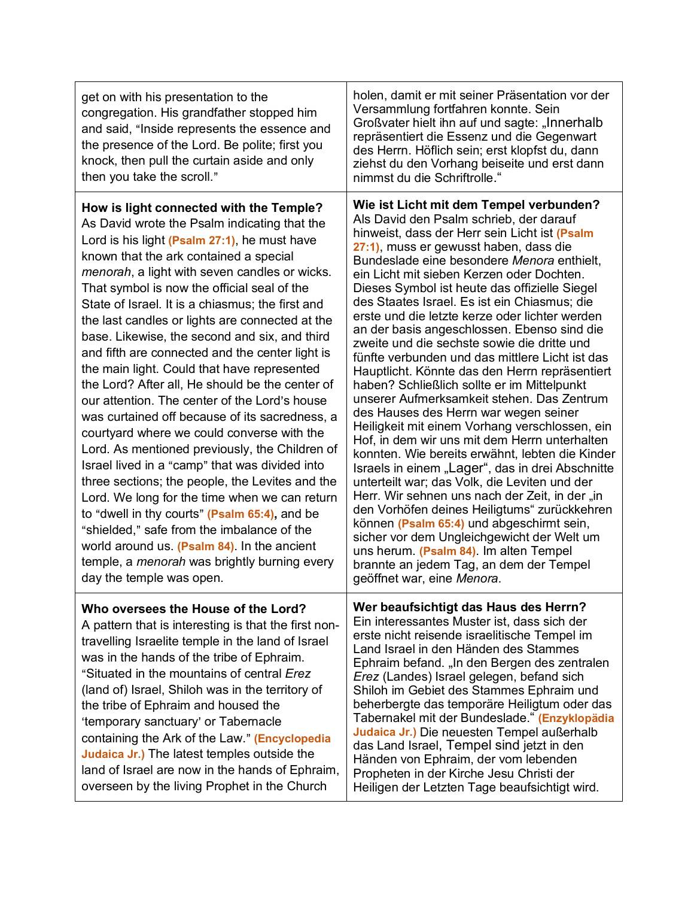| get on with his presentation to the<br>congregation. His grandfather stopped him<br>and said, "Inside represents the essence and<br>the presence of the Lord. Be polite; first you<br>knock, then pull the curtain aside and only<br>then you take the scroll."                                                                                                                                                                                                                                                                                                                                                                                                                                                                                                                                                                                                                                                                                                                                                                                                                                                                                                                   | holen, damit er mit seiner Präsentation vor der<br>Versammlung fortfahren konnte. Sein<br>Großvater hielt ihn auf und sagte: "Innerhalb<br>repräsentiert die Essenz und die Gegenwart<br>des Herrn. Höflich sein; erst klopfst du, dann<br>ziehst du den Vorhang beiseite und erst dann<br>nimmst du die Schriftrolle."                                                                                                                                                                                                                                                                                                                                                                                                                                                                                                                                                                                                                                                                                                                                                                                                                                                                                                                                                                                                                         |
|-----------------------------------------------------------------------------------------------------------------------------------------------------------------------------------------------------------------------------------------------------------------------------------------------------------------------------------------------------------------------------------------------------------------------------------------------------------------------------------------------------------------------------------------------------------------------------------------------------------------------------------------------------------------------------------------------------------------------------------------------------------------------------------------------------------------------------------------------------------------------------------------------------------------------------------------------------------------------------------------------------------------------------------------------------------------------------------------------------------------------------------------------------------------------------------|-------------------------------------------------------------------------------------------------------------------------------------------------------------------------------------------------------------------------------------------------------------------------------------------------------------------------------------------------------------------------------------------------------------------------------------------------------------------------------------------------------------------------------------------------------------------------------------------------------------------------------------------------------------------------------------------------------------------------------------------------------------------------------------------------------------------------------------------------------------------------------------------------------------------------------------------------------------------------------------------------------------------------------------------------------------------------------------------------------------------------------------------------------------------------------------------------------------------------------------------------------------------------------------------------------------------------------------------------|
| How is light connected with the Temple?<br>As David wrote the Psalm indicating that the<br>Lord is his light (Psalm 27:1), he must have<br>known that the ark contained a special<br>menorah, a light with seven candles or wicks.<br>That symbol is now the official seal of the<br>State of Israel. It is a chiasmus; the first and<br>the last candles or lights are connected at the<br>base. Likewise, the second and six, and third<br>and fifth are connected and the center light is<br>the main light. Could that have represented<br>the Lord? After all, He should be the center of<br>our attention. The center of the Lord's house<br>was curtained off because of its sacredness, a<br>courtyard where we could converse with the<br>Lord. As mentioned previously, the Children of<br>Israel lived in a "camp" that was divided into<br>three sections; the people, the Levites and the<br>Lord. We long for the time when we can return<br>to "dwell in thy courts" (Psalm 65:4), and be<br>"shielded," safe from the imbalance of the<br>world around us. (Psalm 84). In the ancient<br>temple, a menorah was brightly burning every<br>day the temple was open. | Wie ist Licht mit dem Tempel verbunden?<br>Als David den Psalm schrieb, der darauf<br>hinweist, dass der Herr sein Licht ist (Psalm<br>27:1), muss er gewusst haben, dass die<br>Bundeslade eine besondere Menora enthielt,<br>ein Licht mit sieben Kerzen oder Dochten.<br>Dieses Symbol ist heute das offizielle Siegel<br>des Staates Israel. Es ist ein Chiasmus; die<br>erste und die letzte kerze oder lichter werden<br>an der basis angeschlossen. Ebenso sind die<br>zweite und die sechste sowie die dritte und<br>fünfte verbunden und das mittlere Licht ist das<br>Hauptlicht. Könnte das den Herrn repräsentiert<br>haben? Schließlich sollte er im Mittelpunkt<br>unserer Aufmerksamkeit stehen. Das Zentrum<br>des Hauses des Herrn war wegen seiner<br>Heiligkeit mit einem Vorhang verschlossen, ein<br>Hof, in dem wir uns mit dem Herrn unterhalten<br>konnten. Wie bereits erwähnt, lebten die Kinder<br>Israels in einem "Lager", das in drei Abschnitte<br>unterteilt war; das Volk, die Leviten und der<br>Herr. Wir sehnen uns nach der Zeit, in der "in<br>den Vorhöfen deines Heiligtums" zurückkehren<br>können (Psalm 65:4) und abgeschirmt sein,<br>sicher vor dem Ungleichgewicht der Welt um<br>uns herum. (Psalm 84). Im alten Tempel<br>brannte an jedem Tag, an dem der Tempel<br>geöffnet war, eine Menora. |
| Who oversees the House of the Lord?<br>A pattern that is interesting is that the first non-<br>travelling Israelite temple in the land of Israel<br>was in the hands of the tribe of Ephraim.<br>"Situated in the mountains of central Erez<br>(land of) Israel, Shiloh was in the territory of<br>the tribe of Ephraim and housed the<br>'temporary sanctuary' or Tabernacle<br>containing the Ark of the Law." (Encyclopedia<br>Judaica Jr.) The latest temples outside the<br>land of Israel are now in the hands of Ephraim,<br>overseen by the living Prophet in the Church                                                                                                                                                                                                                                                                                                                                                                                                                                                                                                                                                                                                  | Wer beaufsichtigt das Haus des Herrn?<br>Ein interessantes Muster ist, dass sich der<br>erste nicht reisende israelitische Tempel im<br>Land Israel in den Händen des Stammes<br>Ephraim befand. "In den Bergen des zentralen<br>Erez (Landes) Israel gelegen, befand sich<br>Shiloh im Gebiet des Stammes Ephraim und<br>beherbergte das temporäre Heiligtum oder das<br>Tabernakel mit der Bundeslade." (Enzyklopädia<br>Judaica Jr.) Die neuesten Tempel außerhalb<br>das Land Israel, Tempel sind jetzt in den<br>Händen von Ephraim, der vom lebenden<br>Propheten in der Kirche Jesu Christi der<br>Heiligen der Letzten Tage beaufsichtigt wird.                                                                                                                                                                                                                                                                                                                                                                                                                                                                                                                                                                                                                                                                                         |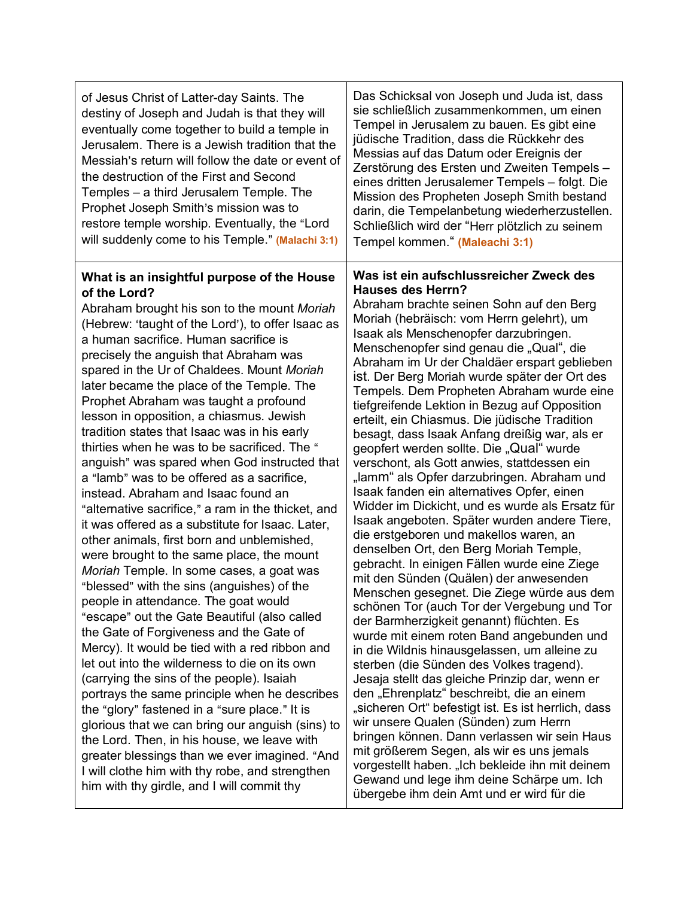| of Jesus Christ of Latter-day Saints. The<br>destiny of Joseph and Judah is that they will<br>eventually come together to build a temple in<br>Jerusalem. There is a Jewish tradition that the<br>Messiah's return will follow the date or event of<br>the destruction of the First and Second<br>Temples - a third Jerusalem Temple. The<br>Prophet Joseph Smith's mission was to<br>restore temple worship. Eventually, the "Lord<br>will suddenly come to his Temple." (Malachi 3:1)                                                                                                                                                                                                                                                                                                                                                                                                                                                                                                                                                                                                                                                                                                                                                                                                                                                                                                                                                                                                                                                                                                                         | Das Schicksal von Joseph und Juda ist, dass<br>sie schließlich zusammenkommen, um einen<br>Tempel in Jerusalem zu bauen. Es gibt eine<br>jüdische Tradition, dass die Rückkehr des<br>Messias auf das Datum oder Ereignis der<br>Zerstörung des Ersten und Zweiten Tempels-<br>eines dritten Jerusalemer Tempels - folgt. Die<br>Mission des Propheten Joseph Smith bestand<br>darin, die Tempelanbetung wiederherzustellen.<br>Schließlich wird der "Herr plötzlich zu seinem<br>Tempel kommen." (Maleachi 3:1)                                                                                                                                                                                                                                                                                                                                                                                                                                                                                                                                                                                                                                                                                                                                                                                                                                                                                                                                                                                                                                                                                                                                                                                                                                     |
|-----------------------------------------------------------------------------------------------------------------------------------------------------------------------------------------------------------------------------------------------------------------------------------------------------------------------------------------------------------------------------------------------------------------------------------------------------------------------------------------------------------------------------------------------------------------------------------------------------------------------------------------------------------------------------------------------------------------------------------------------------------------------------------------------------------------------------------------------------------------------------------------------------------------------------------------------------------------------------------------------------------------------------------------------------------------------------------------------------------------------------------------------------------------------------------------------------------------------------------------------------------------------------------------------------------------------------------------------------------------------------------------------------------------------------------------------------------------------------------------------------------------------------------------------------------------------------------------------------------------|------------------------------------------------------------------------------------------------------------------------------------------------------------------------------------------------------------------------------------------------------------------------------------------------------------------------------------------------------------------------------------------------------------------------------------------------------------------------------------------------------------------------------------------------------------------------------------------------------------------------------------------------------------------------------------------------------------------------------------------------------------------------------------------------------------------------------------------------------------------------------------------------------------------------------------------------------------------------------------------------------------------------------------------------------------------------------------------------------------------------------------------------------------------------------------------------------------------------------------------------------------------------------------------------------------------------------------------------------------------------------------------------------------------------------------------------------------------------------------------------------------------------------------------------------------------------------------------------------------------------------------------------------------------------------------------------------------------------------------------------------|
| What is an insightful purpose of the House<br>of the Lord?<br>Abraham brought his son to the mount Moriah<br>(Hebrew: 'taught of the Lord'), to offer Isaac as<br>a human sacrifice. Human sacrifice is<br>precisely the anguish that Abraham was<br>spared in the Ur of Chaldees. Mount Moriah<br>later became the place of the Temple. The<br>Prophet Abraham was taught a profound<br>lesson in opposition, a chiasmus. Jewish<br>tradition states that Isaac was in his early<br>thirties when he was to be sacrificed. The "<br>anguish" was spared when God instructed that<br>a "lamb" was to be offered as a sacrifice,<br>instead. Abraham and Isaac found an<br>"alternative sacrifice," a ram in the thicket, and<br>it was offered as a substitute for Isaac. Later,<br>other animals, first born and unblemished,<br>were brought to the same place, the mount<br>Moriah Temple. In some cases, a goat was<br>"blessed" with the sins (anguishes) of the<br>people in attendance. The goat would<br>"escape" out the Gate Beautiful (also called<br>the Gate of Forgiveness and the Gate of<br>Mercy). It would be tied with a red ribbon and<br>let out into the wilderness to die on its own<br>(carrying the sins of the people). Isaiah<br>portrays the same principle when he describes<br>the "glory" fastened in a "sure place." It is<br>glorious that we can bring our anguish (sins) to<br>the Lord. Then, in his house, we leave with<br>greater blessings than we ever imagined. "And<br>I will clothe him with thy robe, and strengthen<br>him with thy girdle, and I will commit thy | Was ist ein aufschlussreicher Zweck des<br><b>Hauses des Herrn?</b><br>Abraham brachte seinen Sohn auf den Berg<br>Moriah (hebräisch: vom Herrn gelehrt), um<br>Isaak als Menschenopfer darzubringen.<br>Menschenopfer sind genau die "Qual", die<br>Abraham im Ur der Chaldäer erspart geblieben<br>ist. Der Berg Moriah wurde später der Ort des<br>Tempels. Dem Propheten Abraham wurde eine<br>tiefgreifende Lektion in Bezug auf Opposition<br>erteilt, ein Chiasmus. Die jüdische Tradition<br>besagt, dass Isaak Anfang dreißig war, als er<br>geopfert werden sollte. Die "Qual" wurde<br>verschont, als Gott anwies, stattdessen ein<br>"lamm" als Opfer darzubringen. Abraham und<br>Isaak fanden ein alternatives Opfer, einen<br>Widder im Dickicht, und es wurde als Ersatz für<br>Isaak angeboten. Später wurden andere Tiere,<br>die erstgeboren und makellos waren, an<br>denselben Ort, den Berg Moriah Temple,<br>gebracht. In einigen Fällen wurde eine Ziege<br>mit den Sünden (Quälen) der anwesenden<br>Menschen gesegnet. Die Ziege würde aus dem<br>schönen Tor (auch Tor der Vergebung und Tor<br>der Barmherzigkeit genannt) flüchten. Es<br>wurde mit einem roten Band angebunden und<br>in die Wildnis hinausgelassen, um alleine zu<br>sterben (die Sünden des Volkes tragend).<br>Jesaja stellt das gleiche Prinzip dar, wenn er<br>den "Ehrenplatz" beschreibt, die an einem<br>"sicheren Ort" befestigt ist. Es ist herrlich, dass<br>wir unsere Qualen (Sünden) zum Herrn<br>bringen können. Dann verlassen wir sein Haus<br>mit größerem Segen, als wir es uns jemals<br>vorgestellt haben. "Ich bekleide ihn mit deinem<br>Gewand und lege ihm deine Schärpe um. Ich<br>übergebe ihm dein Amt und er wird für die |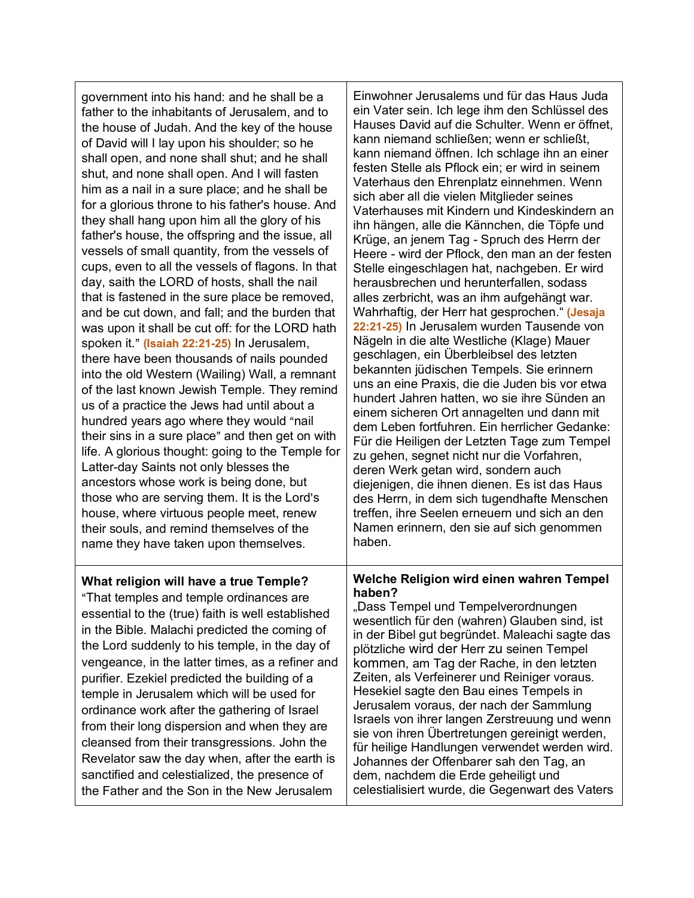government into his hand: and he shall be a father to the inhabitants of Jerusalem, and to the house of Judah. And the key of the house of David will I lay upon his shoulder; so he shall open, and none shall shut; and he shall shut, and none shall open. And I will fasten him as a nail in a sure place; and he shall be for a glorious throne to his father's house. And they shall hang upon him all the glory of his father's house, the offspring and the issue, all vessels of small quantity, from the vessels of cups, even to all the vessels of flagons. In that day, saith the LORD of hosts, shall the nail that is fastened in the sure place be removed, and be cut down, and fall; and the burden that was upon it shall be cut off: for the LORD hath spoken it." (Isaiah 22:21-25) In Jerusalem, there have been thousands of nails pounded into the old Western (Wailing) Wall, a remnant of the last known Jewish Temple. They remind us of a practice the Jews had until about a hundred years ago where they would "nail their sins in a sure place" and then get on with life. A glorious thought: going to the Temple for Latter-day Saints not only blesses the ancestors whose work is being done, but those who are serving them. It is the Lord's house, where virtuous people meet, renew their souls, and remind themselves of the name they have taken upon themselves.

Einwohner Jerusalems und für das Haus Juda ein Vater sein. Ich lege ihm den Schlüssel des Hauses David auf die Schulter. Wenn er öffnet, kann niemand schließen; wenn er schließt, kann niemand öffnen. Ich schlage ihn an einer festen Stelle als Pflock ein; er wird in seinem Vaterhaus den Ehrenplatz einnehmen. Wenn sich aber all die vielen Mitglieder seines Vaterhauses mit Kindern und Kindeskindern an ihn hängen, alle die Kännchen, die Töpfe und Krüge, an jenem Tag - Spruch des Herrn der Heere - wird der Pflock, den man an der festen Stelle eingeschlagen hat, nachgeben. Er wird herausbrechen und herunterfallen, sodass alles zerbricht, was an ihm aufgehängt war. Wahrhaftig, der Herr hat gesprochen." **(Jesaja 22:21-25)** In Jerusalem wurden Tausende von Nägeln in die alte Westliche (Klage) Mauer geschlagen, ein Überbleibsel des letzten bekannten jüdischen Tempels. Sie erinnern uns an eine Praxis, die die Juden bis vor etwa hundert Jahren hatten, wo sie ihre Sünden an einem sicheren Ort annagelten und dann mit dem Leben fortfuhren. Ein herrlicher Gedanke: Für die Heiligen der Letzten Tage zum Tempel zu gehen, segnet nicht nur die Vorfahren, deren Werk getan wird, sondern auch diejenigen, die ihnen dienen. Es ist das Haus des Herrn, in dem sich tugendhafte Menschen treffen, ihre Seelen erneuern und sich an den Namen erinnern, den sie auf sich genommen haben.

# **What religion will have a true Temple?**

"That temples and temple ordinances are essential to the (true) faith is well established in the Bible. Malachi predicted the coming of the Lord suddenly to his temple, in the day of vengeance, in the latter times, as a refiner and purifier. Ezekiel predicted the building of a temple in Jerusalem which will be used for ordinance work after the gathering of Israel from their long dispersion and when they are cleansed from their transgressions. John the Revelator saw the day when, after the earth is sanctified and celestialized, the presence of the Father and the Son in the New Jerusalem

#### **Welche Religion wird einen wahren Tempel haben?**

"Dass Tempel und Tempelverordnungen wesentlich für den (wahren) Glauben sind, ist in der Bibel gut begründet. Maleachi sagte das plötzliche wird der Herr zu seinen Tempel kommen, am Tag der Rache, in den letzten Zeiten, als Verfeinerer und Reiniger voraus. Hesekiel sagte den Bau eines Tempels in Jerusalem voraus, der nach der Sammlung Israels von ihrer langen Zerstreuung und wenn sie von ihren Übertretungen gereinigt werden, für heilige Handlungen verwendet werden wird. Johannes der Offenbarer sah den Tag, an dem, nachdem die Erde geheiligt und celestialisiert wurde, die Gegenwart des Vaters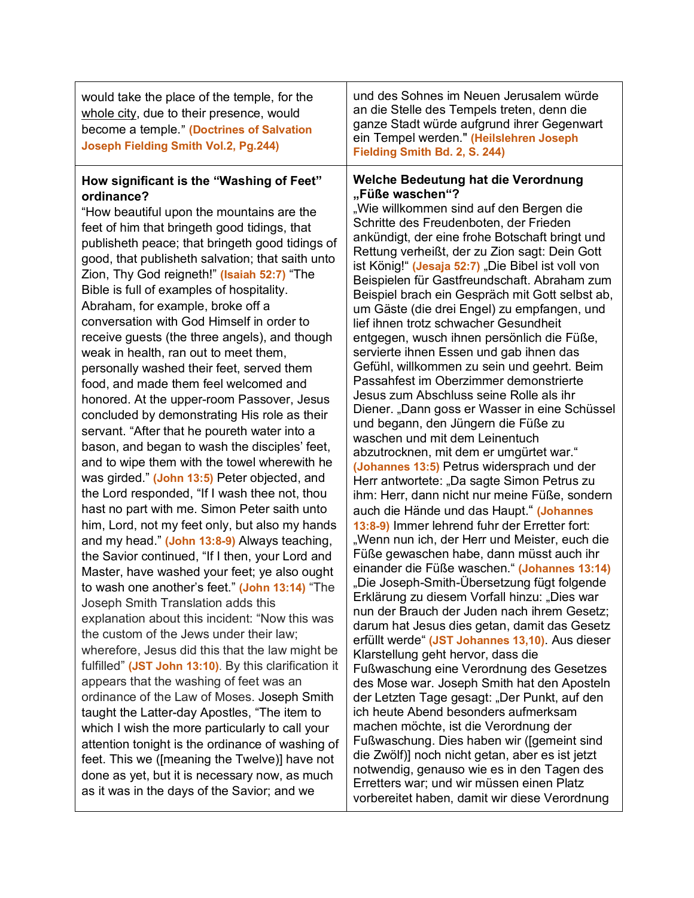| Welche Bedeutung hat die Verordnung<br>How significant is the "Washing of Feet"                                                                                              |                                                                                                                                                                                                                 |
|------------------------------------------------------------------------------------------------------------------------------------------------------------------------------|-----------------------------------------------------------------------------------------------------------------------------------------------------------------------------------------------------------------|
| would take the place of the temple, for the<br>whole city, due to their presence, would<br>become a temple." (Doctrines of Salvation<br>Joseph Fielding Smith Vol.2, Pg.244) | und des Sohnes im Neuen Jerusalem würde<br>an die Stelle des Tempels treten, denn die<br>ganze Stadt würde aufgrund ihrer Gegenwart<br>ein Tempel werden." (Heilslehren Joseph<br>Fielding Smith Bd. 2, S. 244) |

"How beautiful upon the mountains are the feet of him that bringeth good tidings, that publisheth peace; that bringeth good tidings of good, that publisheth salvation; that saith unto Zion, Thy God reigneth!" **(Isaiah 52:7)** "The Bible is full of examples of hospitality. Abraham, for example, broke off a conversation with God Himself in order to receive guests (the three angels), and though weak in health, ran out to meet them, personally washed their feet, served them food, and made them feel welcomed and honored. At the upper-room Passover, Jesus concluded by demonstrating His role as their servant. "After that he poureth water into a bason, and began to wash the disciples' feet, and to wipe them with the towel wherewith he was girded." **(John 13:5)** Peter objected, and the Lord responded, "If I wash thee not, thou hast no part with me. Simon Peter saith unto him, Lord, not my feet only, but also my hands and my head." **(John 13:8-9)** Always teaching, the Savior continued, "If I then, your Lord and Master, have washed your feet; ye also ought to wash one another's feet." **(John 13:14)** "The Joseph Smith Translation adds this explanation about this incident: "Now this was the custom of the Jews under their law; wherefore, Jesus did this that the law might be fulfilled" **(JST John 13:10)**. By this clarification it appears that the washing of feet was an ordinance of the Law of Moses. Joseph Smith taught the Latter-day Apostles, "The item to which I wish the more particularly to call your attention tonight is the ordinance of washing of feet. This we ([meaning the Twelve)] have not done as yet, but it is necessary now, as much as it was in the days of the Savior; and we

"Wie willkommen sind auf den Bergen die Schritte des Freudenboten, der Frieden ankündigt, der eine frohe Botschaft bringt und Rettung verheißt, der zu Zion sagt: Dein Gott ist König!" (Jesaja 52:7) "Die Bibel ist voll von Beispielen für Gastfreundschaft. Abraham zum Beispiel brach ein Gespräch mit Gott selbst ab, um Gäste (die drei Engel) zu empfangen, und lief ihnen trotz schwacher Gesundheit entgegen, wusch ihnen persönlich die Füße, servierte ihnen Essen und gab ihnen das Gefühl, willkommen zu sein und geehrt. Beim Passahfest im Oberzimmer demonstrierte Jesus zum Abschluss seine Rolle als ihr Diener. "Dann goss er Wasser in eine Schüssel und begann, den Jüngern die Füße zu waschen und mit dem Leinentuch abzutrocknen, mit dem er umgürtet war." **(Johannes 13:5)** Petrus widersprach und der Herr antwortete: "Da sagte Simon Petrus zu ihm: Herr, dann nicht nur meine Füße, sondern auch die Hände und das Haupt." **(Johannes 13:8-9)** Immer lehrend fuhr der Erretter fort: "Wenn nun ich, der Herr und Meister, euch die Füße gewaschen habe, dann müsst auch ihr einander die Füße waschen." **(Johannes 13:14)** "Die Joseph-Smith-Übersetzung fügt folgende Erklärung zu diesem Vorfall hinzu: "Dies war nun der Brauch der Juden nach ihrem Gesetz; darum hat Jesus dies getan, damit das Gesetz erfüllt werde" **(JST Johannes 13,10)**. Aus dieser Klarstellung geht hervor, dass die Fußwaschung eine Verordnung des Gesetzes des Mose war. Joseph Smith hat den Aposteln der Letzten Tage gesagt: "Der Punkt, auf den ich heute Abend besonders aufmerksam machen möchte, ist die Verordnung der Fußwaschung. Dies haben wir ([gemeint sind die Zwölf)] noch nicht getan, aber es ist jetzt notwendig, genauso wie es in den Tagen des Erretters war; und wir müssen einen Platz vorbereitet haben, damit wir diese Verordnung